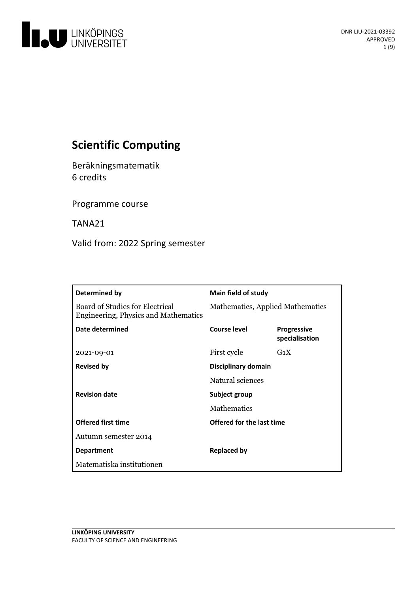

# **Scientific Computing**

Beräkningsmatematik 6 credits

Programme course

TANA21

Valid from: 2022 Spring semester

| Determined by                                                                  | <b>Main field of study</b>       |                                      |
|--------------------------------------------------------------------------------|----------------------------------|--------------------------------------|
| <b>Board of Studies for Electrical</b><br>Engineering, Physics and Mathematics | Mathematics, Applied Mathematics |                                      |
| Date determined                                                                | Course level                     | <b>Progressive</b><br>specialisation |
| 2021-09-01                                                                     | First cycle                      | $G_1X$                               |
| <b>Revised by</b>                                                              | Disciplinary domain              |                                      |
|                                                                                | Natural sciences                 |                                      |
| <b>Revision date</b>                                                           | Subject group                    |                                      |
|                                                                                | <b>Mathematics</b>               |                                      |
| <b>Offered first time</b>                                                      | Offered for the last time        |                                      |
| Autumn semester 2014                                                           |                                  |                                      |
| <b>Department</b>                                                              | <b>Replaced by</b>               |                                      |
| Matematiska institutionen                                                      |                                  |                                      |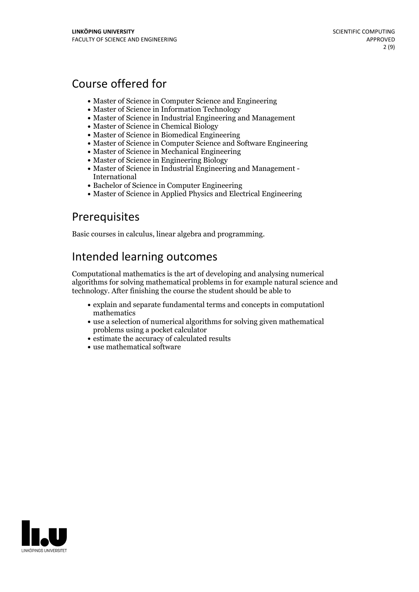# Course offered for

- Master of Science in Computer Science and Engineering
- Master of Science in Information Technology
- Master of Science in Industrial Engineering and Management
- Master of Science in Chemical Biology
- Master of Science in Biomedical Engineering
- Master of Science in Computer Science and Software Engineering
- Master of Science in Mechanical Engineering
- Master of Science in Engineering Biology
- Master of Science in Industrial Engineering and Management International
- Bachelor of Science in Computer Engineering
- Master of Science in Applied Physics and Electrical Engineering

## **Prerequisites**

Basic courses in calculus, linear algebra and programming.

## Intended learning outcomes

Computational mathematics is the art of developing and analysing numerical algorithms for solving mathematical problems in for example natural science and technology. After finishing the course the student should be able to

- explain and separate fundamental terms and concepts in computationl mathematics
- use a selection of numerical algorithms for solving given mathematical problems using a pocket calculator
- estimate the accuracy of calculated results
- use mathematical software

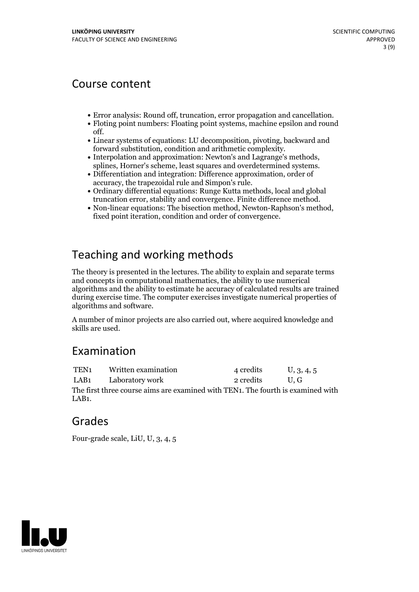## Course content

- 
- Error analysis: Round off, truncation, error propagation and cancellation. Floting point numbers: Floating point systems, machine epsilon and round
- off.<br>• Linear systems of equations: LU decomposition, pivoting, backward and
- forward substitution, condition and arithmetic complexity.<br>
Interpolation and approximation: Newton's and Lagrange's methods, splines, Horner's scheme, least squares and overdetermined systems.<br>
Differentiation and int
- 
- Ordinary differential equations: Runge Kutta methods, local and global
- truncation error, stability and convergence. Finite difference method. Non-linear equations: The bisection method, Newton-Raphson's method, fixed point iteration, condition and order of convergence.

# Teaching and working methods

The theory is presented in the lectures. The ability to explain and separate terms and concepts in computational mathematics, the ability to use numerical algorithms and the ability to estimate he accuracy of calculated results are trained during exercise time. The computer exercises investigate numerical properties of algorithms and software.

A number of minor projects are also carried out, where acquired knowledge and skills are used.

## Examination

| TEN1                                                                            | Written examination  | 4 credits      | $\mathsf{U}, 3, 4, 5$ |  |  |
|---------------------------------------------------------------------------------|----------------------|----------------|-----------------------|--|--|
|                                                                                 | LAB1 Laboratory work | 2 credits U.G. |                       |  |  |
| The first three course aims are examined with TEN1. The fourth is examined with |                      |                |                       |  |  |
| LAB <sub>1</sub> .                                                              |                      |                |                       |  |  |

## Grades

Four-grade scale, LiU, U, 3, 4, 5

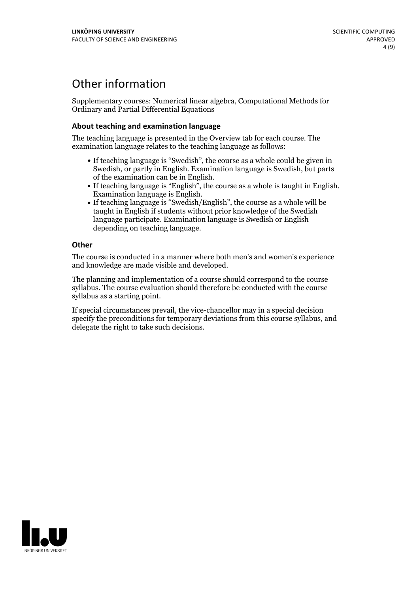# Other information

Supplementary courses: Numerical linear algebra, Computational Methods for Ordinary and Partial Differential Equations

## **About teaching and examination language**

The teaching language is presented in the Overview tab for each course. The examination language relates to the teaching language as follows:

- If teaching language is "Swedish", the course as a whole could be given in Swedish, or partly in English. Examination language is Swedish, but parts
- of the examination can be in English. If teaching language is "English", the course as <sup>a</sup> whole is taught in English. Examination language is English. If teaching language is "Swedish/English", the course as <sup>a</sup> whole will be
- taught in English if students without prior knowledge of the Swedish language participate. Examination language is Swedish or English depending on teaching language.

## **Other**

The course is conducted in a manner where both men's and women's experience and knowledge are made visible and developed.

The planning and implementation of a course should correspond to the course syllabus. The course evaluation should therefore be conducted with the course syllabus as a starting point.

If special circumstances prevail, the vice-chancellor may in a special decision specify the preconditions for temporary deviations from this course syllabus, and delegate the right to take such decisions.

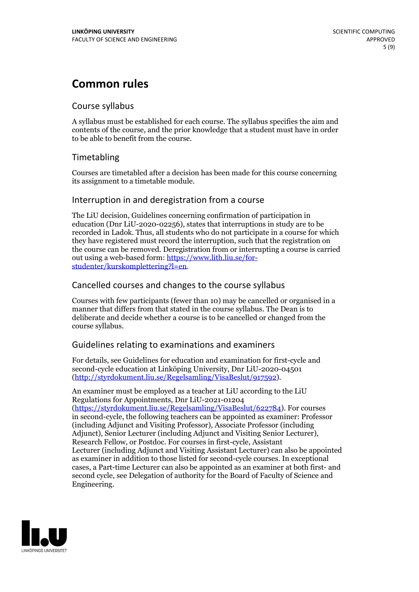# **Common rules**

## Course syllabus

A syllabus must be established for each course. The syllabus specifies the aim and contents of the course, and the prior knowledge that a student must have in order to be able to benefit from the course.

## Timetabling

Courses are timetabled after a decision has been made for this course concerning its assignment to a timetable module.

## Interruption in and deregistration from a course

The LiU decision, Guidelines concerning confirmation of participation in education (Dnr LiU-2020-02256), states that interruptions in study are to be recorded in Ladok. Thus, all students who do not participate in a course for which they have registered must record the interruption, such that the registration on the course can be removed. Deregistration from or interrupting a course is carried out using <sup>a</sup> web-based form: https://www.lith.liu.se/for- [studenter/kurskomplettering?l=en.](https://www.lith.liu.se/for-studenter/kurskomplettering?l=en)

## Cancelled courses and changes to the course syllabus

Courses with few participants (fewer than 10) may be cancelled or organised in a manner that differs from that stated in the course syllabus. The Dean is to deliberate and decide whether a course is to be cancelled or changed from the course syllabus.

## Guidelines relating to examinations and examiners

For details, see Guidelines for education and examination for first-cycle and second-cycle education at Linköping University, Dnr LiU-2020-04501 [\(http://styrdokument.liu.se/Regelsamling/VisaBeslut/917592\)](http://styrdokument.liu.se/Regelsamling/VisaBeslut/917592).

An examiner must be employed as a teacher at LiU according to the LiU Regulations for Appointments, Dnr LiU-2021-01204 [\(https://styrdokument.liu.se/Regelsamling/VisaBeslut/622784](https://styrdokument.liu.se/Regelsamling/VisaBeslut/622784)). For courses in second-cycle, the following teachers can be appointed as examiner: Professor (including Adjunct and Visiting Professor), Associate Professor (including Adjunct), Senior Lecturer (including Adjunct and Visiting Senior Lecturer), Research Fellow, or Postdoc. For courses in first-cycle, Assistant Lecturer (including Adjunct and Visiting Assistant Lecturer) can also be appointed as examiner in addition to those listed for second-cycle courses. In exceptional cases, a Part-time Lecturer can also be appointed as an examiner at both first- and second cycle, see Delegation of authority for the Board of Faculty of Science and Engineering.

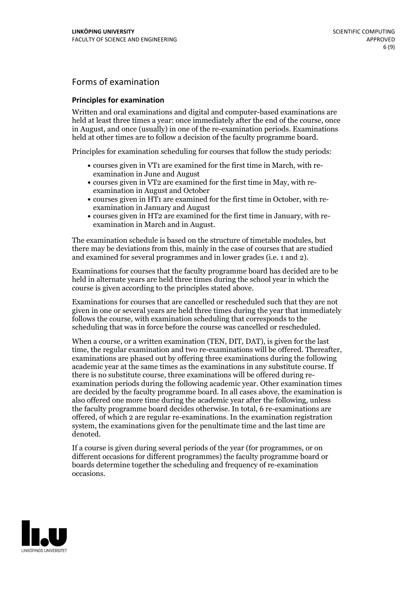## Forms of examination

### **Principles for examination**

Written and oral examinations and digital and computer-based examinations are held at least three times a year: once immediately after the end of the course, once in August, and once (usually) in one of the re-examination periods. Examinations held at other times are to follow a decision of the faculty programme board.

Principles for examination scheduling for courses that follow the study periods:

- courses given in VT1 are examined for the first time in March, with re-examination in June and August
- courses given in VT2 are examined for the first time in May, with re-examination in August and October
- courses given in HT1 are examined for the first time in October, with re-examination in January and August
- courses given in HT2 are examined for the first time in January, with re-examination in March and in August.

The examination schedule is based on the structure of timetable modules, but there may be deviations from this, mainly in the case of courses that are studied and examined for several programmes and in lower grades (i.e. 1 and 2).

Examinations for courses that the faculty programme board has decided are to be held in alternate years are held three times during the school year in which the course is given according to the principles stated above.

Examinations for courses that are cancelled orrescheduled such that they are not given in one or several years are held three times during the year that immediately follows the course, with examination scheduling that corresponds to the scheduling that was in force before the course was cancelled or rescheduled.

When a course, or a written examination (TEN, DIT, DAT), is given for the last time, the regular examination and two re-examinations will be offered. Thereafter, examinations are phased out by offering three examinations during the following academic year at the same times as the examinations in any substitute course. If there is no substitute course, three examinations will be offered during re- examination periods during the following academic year. Other examination times are decided by the faculty programme board. In all cases above, the examination is also offered one more time during the academic year after the following, unless the faculty programme board decides otherwise. In total, 6 re-examinations are offered, of which 2 are regular re-examinations. In the examination registration system, the examinations given for the penultimate time and the last time are denoted.

If a course is given during several periods of the year (for programmes, or on different occasions for different programmes) the faculty programme board or boards determine together the scheduling and frequency of re-examination occasions.

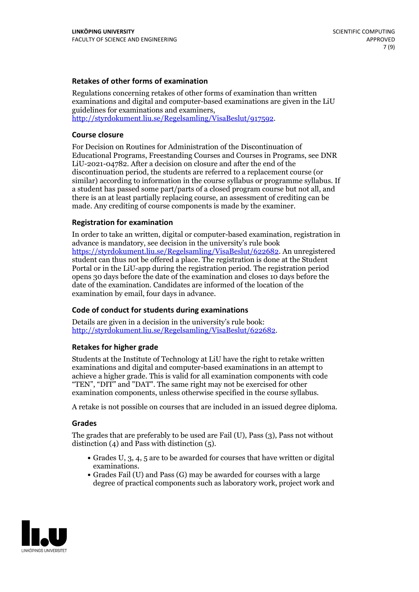### **Retakes of other forms of examination**

Regulations concerning retakes of other forms of examination than written examinations and digital and computer-based examinations are given in the LiU guidelines for examinations and examiners, [http://styrdokument.liu.se/Regelsamling/VisaBeslut/917592.](http://styrdokument.liu.se/Regelsamling/VisaBeslut/917592)

#### **Course closure**

For Decision on Routines for Administration of the Discontinuation of Educational Programs, Freestanding Courses and Courses in Programs, see DNR LiU-2021-04782. After a decision on closure and after the end of the discontinuation period, the students are referred to a replacement course (or similar) according to information in the course syllabus or programme syllabus. If a student has passed some part/parts of a closed program course but not all, and there is an at least partially replacing course, an assessment of crediting can be made. Any crediting of course components is made by the examiner.

### **Registration for examination**

In order to take an written, digital or computer-based examination, registration in advance is mandatory, see decision in the university's rule book [https://styrdokument.liu.se/Regelsamling/VisaBeslut/622682.](https://styrdokument.liu.se/Regelsamling/VisaBeslut/622682) An unregistered student can thus not be offered a place. The registration is done at the Student Portal or in the LiU-app during the registration period. The registration period opens 30 days before the date of the examination and closes 10 days before the date of the examination. Candidates are informed of the location of the examination by email, four days in advance.

## **Code of conduct for students during examinations**

Details are given in a decision in the university's rule book: <http://styrdokument.liu.se/Regelsamling/VisaBeslut/622682>.

#### **Retakes for higher grade**

Students at the Institute of Technology at LiU have the right to retake written examinations and digital and computer-based examinations in an attempt to achieve a higher grade. This is valid for all examination components with code "TEN", "DIT" and "DAT". The same right may not be exercised for other examination components, unless otherwise specified in the course syllabus.

A retake is not possible on courses that are included in an issued degree diploma.

#### **Grades**

The grades that are preferably to be used are Fail (U), Pass (3), Pass not without distinction  $(4)$  and Pass with distinction  $(5)$ .

- Grades U, 3, 4, 5 are to be awarded for courses that have written or digital examinations.<br>• Grades Fail (U) and Pass (G) may be awarded for courses with a large
- degree of practical components such as laboratory work, project work and

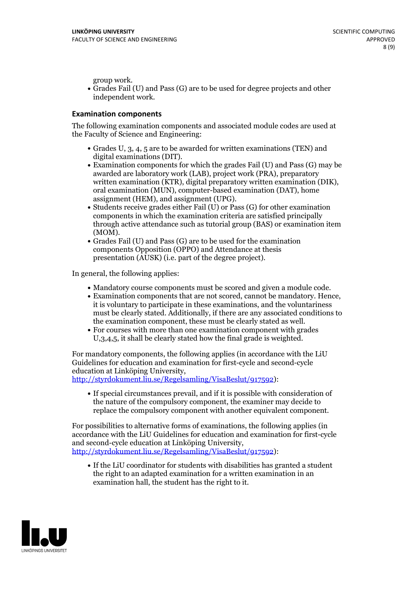group work.<br>• Grades Fail (U) and Pass (G) are to be used for degree projects and other independent work.

### **Examination components**

The following examination components and associated module codes are used at the Faculty of Science and Engineering:

- Grades U, 3, 4, 5 are to be awarded for written examinations (TEN) and
- digital examinations (DIT).<br>• Examination components for which the grades Fail (U) and Pass (G) may be awarded are laboratory work (LAB), project work (PRA), preparatory written examination (KTR), digital preparatory written examination (DIK), oral examination (MUN), computer-based examination (DAT), home
- assignment (HEM), and assignment (UPG).<br>• Students receive grades either Fail (U) or Pass (G) for other examination components in which the examination criteria are satisfied principally through active attendance such as tutorial group (BAS) or examination item
- (MOM).<br>• Grades Fail (U) and Pass (G) are to be used for the examination components Opposition (OPPO) and Attendance at thesis presentation (AUSK) (i.e. part of the degree project).

In general, the following applies:

- 
- Mandatory course components must be scored and given <sup>a</sup> module code. Examination components that are not scored, cannot be mandatory. Hence, it is voluntary to participate in these examinations, and the voluntariness must be clearly stated. Additionally, if there are any associated conditions to
- the examination component, these must be clearly stated as well.<br>• For courses with more than one examination component with grades U,3,4,5, it shall be clearly stated how the final grade is weighted.

For mandatory components, the following applies (in accordance with the LiU Guidelines for education and examination for first-cycle and second-cycle education at Linköping University,<br>[http://styrdokument.liu.se/Regelsamling/VisaBeslut/917592\)](http://styrdokument.liu.se/Regelsamling/VisaBeslut/917592):

If special circumstances prevail, and if it is possible with consideration of the nature of the compulsory component, the examiner may decide to replace the compulsory component with another equivalent component.

For possibilities to alternative forms of examinations, the following applies (in accordance with the LiU Guidelines for education and examination for first-cycle [http://styrdokument.liu.se/Regelsamling/VisaBeslut/917592\)](http://styrdokument.liu.se/Regelsamling/VisaBeslut/917592):

If the LiU coordinator for students with disabilities has granted a student the right to an adapted examination for a written examination in an examination hall, the student has the right to it.